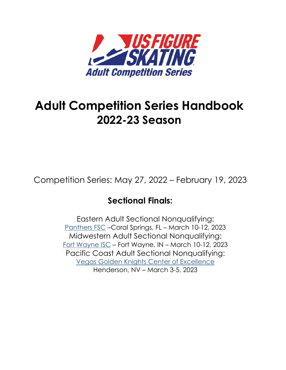

# **Adult Competition Series Handbook 2022-23 Season**

Competition Series: May 27, 2022 – February 19, 2023

## **Sectional Finals:**

Eastern Adult Sectional Nonqualifying: [Panthers FSC](http://www.panthersfsc.com/) [–](https://crossroadsfsc.org/)Coral Springs, FL – March 10-12, 2023 Midwestern Adult Sectional Nonqualifying: [Fort Wayne](http://www.fortwayneiceskatingclub.org/) IS[C](https://www.eifsc.org/index.html) – Fort Wayne, IN – March 10-12, 2023 Pacific Coast Adult Sectional Nonqualifying: [Vegas Golden Knights Center of Excellence](https://www.citynationalarena.com/center-of-excellence) Henderson, NV – March 3-5, 2023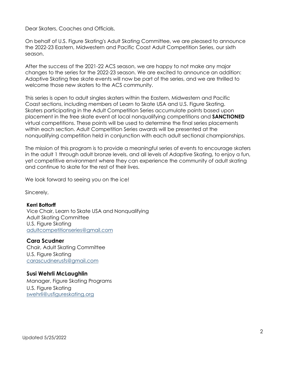Dear Skaters, Coaches and Officials,

On behalf of U.S. Figure Skating's Adult Skating Committee, we are pleased to announce the 2022-23 Eastern, Midwestern and Pacific Coast Adult Competition Series, our sixth season.

After the success of the 2021-22 ACS season, we are happy to not make any major changes to the series for the 2022-23 season. We are excited to announce an addition: Adaptive Skating free skate events will now be part of the series, and we are thrilled to welcome those new skaters to the ACS community.

This series is open to adult singles skaters within the Eastern, Midwestern and Pacific Coast sections, including members of Learn to Skate USA and U.S. Figure Skating. Skaters participating in the Adult Competition Series accumulate points based upon placement in the free skate event at local nonqualifying competitions and **SANCTIONED**  virtual competitions. These points will be used to determine the final series placements within each section. Adult Competition Series awards will be presented at the nonqualifying competition held in conjunction with each adult sectional championships.

The mission of this program is to provide a meaningful series of events to encourage skaters in the adult 1 through adult bronze levels, and all levels of Adaptive Skating, to enjoy a fun, yet competitive environment where they can experience the community of adult skating and continue to skate for the rest of their lives.

We look forward to seeing you on the ice!

Sincerely,

#### **Kerri Bottorff**

Vice Chair, Learn to Skate USA and Nonqualifying Adult Skating Committee U.S. Figure Skating [adultcompetitionseries@gmail.com](mailto:adultcompetitionseries@gmail.com)

#### **Cara Scudner**

Chair, Adult Skating Committee U.S. Figure Skating [carascudnerusfs@gmail.com](mailto:carascudnerusfs@gmail.com)

#### **Susi Wehrli McLaughlin**

Manager, Figure Skating Programs U.S. Figure Skating [swehrli@usfigureskating.org](mailto:swehrli@usfigureskating.org)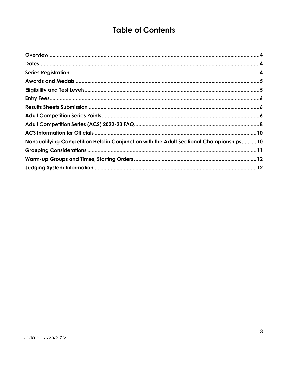## **Table of Contents**

| Nonqualifying Competition Held in Conjunction with the Adult Sectional Championships 10 |  |
|-----------------------------------------------------------------------------------------|--|
|                                                                                         |  |
|                                                                                         |  |
|                                                                                         |  |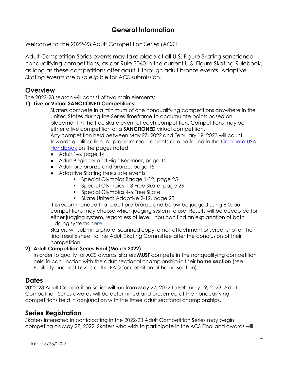## **General Information**

Welcome to the 2022-23 Adult Competition Series (ACS)!

Adult Competition Series events may take place at all U.S. Figure Skating sanctioned nonqualifying competitions, as per Rule 3060 in the current U.S. Figure Skating Rulebook, as long as these competitions offer adult 1 through adult bronze events. Adaptive Skating events are also eligible for ACS submission.

## <span id="page-3-0"></span>**Overview**

The 2022-23 season will consist of two main elements:

#### **1) Live or Virtual SANCTIONED Competitions:**

Skaters compete in a minimum of one nonqualifying competitions anywhere in the United States during the Series timeframe to accumulate points based on placement in the free skate event at each competition. Competitions may be either a live competition or a **SANCTIONED** virtual competition. Any competition held between May 27, 2022 and February 19, 2023 will count towards qualification. All program requirements can be found in the [Compete USA](https://www.usfigureskating.org/sites/default/files/media-files/2020-21%20Compete%20USA%20Manual.pdf)  [Handbook](https://www.usfigureskating.org/sites/default/files/media-files/2020-21%20Compete%20USA%20Manual.pdf) on the pages noted.

- Adult 1-6, page 14
- Adult Beginner and High Beginner, page 15
- Adult pre-bronze and bronze, page 15
- Adaptive Skating free skate events
	- Special Olympics Badge 1-12, page 25
	- Special Olympics 1-3 Free Skate, page 26
	- Special Olympics 4-6 Free Skate
	- Skate United: Adaptive 2-12, page 28

It is recommended that adult pre-bronze and below be judged using 6.0, but competitions may choose which judging system to use. Results will be accepted for either judging system, regardless of level. You can find an explanation of both judging systems [here.](https://www.usfigureskating.org/about/scoring-system)

Skaters will submit a photo, scanned copy, email attachment or screenshot of their final results sheet to the Adult Skating Committee after the conclusion of their competition.

#### **2) Adult Competition Series Final (March 2022)**

In order to qualify for ACS awards, skaters **MUST** compete in the nonqualifying competition held in conjunction with the adult sectional championship in their **home section** (see Eligibility and Test Levels or the FAQ for definition of home section).

## <span id="page-3-1"></span>**Dates**

2022-23 Adult Competition Series will run from May 27, 2022 to February 19, 2023. Adult Competition Series awards will be determined and presented at the nonqualifying competitions held in conjunction with the three adult sectional championships.

## <span id="page-3-2"></span>**Series Registration**

Skaters interested in participating in the 2022-23 Adult Competition Series may begin competing on May 27, 2022. Skaters who wish to participate in the ACS Final and awards will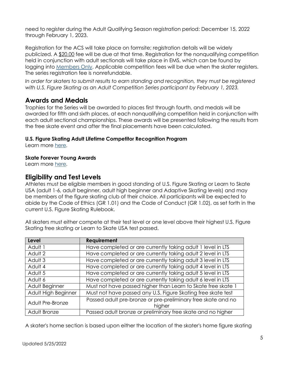need to register during the Adult Qualifying Season registration period: December 15, 2022 through February 1, 2023.

Registration for the ACS will take place on formsite; registration details will be widely publicized. A \$20.00 fee will be due at that time. Registration for the nonqualifying competition held in conjunction with adult sectionals will take place in EMS, which can be found by logging into [Members](https://www.usfsaonline.org/) Only. Applicable competition fees will be due when the skater registers. The series registration fee is nonrefundable.

*In order for skaters to submit results to earn standing and recognition, they must be registered with U.S. Figure Skating as an Adult Competition Series participant by February 1, 2023.* 

## <span id="page-4-0"></span>**Awards and Medals**

Trophies for the Series will be awarded to places first through fourth, and medals will be awarded for fifth and sixth places, at each nonqualifying competition held in conjunction with each adult sectional championships. These awards will be presented following the results from the free skate event and after the final placements have been calculated.

#### **U.S. Figure Skating Adult Lifetime Competitor Recognition Program**

Learn more [here.](https://usfigureskating.org/sites/default/files/media-files/Lifetime%20Competitor%20Recognition%20Program.pdf)

#### **Skate Forever Young Awards**

Learn more [here.](https://usfigureskating.org/sites/default/files/media-files/Skate%20Forever%20Young%20Program.pdf)

## <span id="page-4-1"></span>**Eligibility and Test Levels**

Athletes must be eligible members in good standing of U.S. Figure Skating or Learn to Skate USA (adult 1-6, adult beginner, adult high beginner and Adaptive Skating levels) and may be members of the figure skating club of their choice. All participants will be expected to abide by the Code of Ethics (GR 1.01) and the Code of Conduct (GR 1.02), as set forth in the current U.S. Figure Skating Rulebook.

All skaters must either compete at their test level or one level above their highest U.S. Figure Skating free skating or Learn to Skate USA test passed.

| <b>Level</b>        | <b>Requirement</b>                                           |
|---------------------|--------------------------------------------------------------|
| Adult 1             | Have completed or are currently taking adult 1 level in LTS  |
| Adult 2             | Have completed or are currently taking adult 2 level in LTS  |
| Adult 3             | Have completed or are currently taking adult 3 level in LTS  |
| Adult 4             | Have completed or are currently taking adult 4 level in LTS  |
| Adult 5             | Have completed or are currently taking adult 5 level in LTS  |
| Adult 6             | Have completed or are currently taking adult 6 level in LTS  |
| Adult Beginner      | Must not have passed higher than Learn to Skate free skate 1 |
| Adult High Beginner | Must not have passed any U.S. Figure Skating free skate test |
|                     | Passed adult pre-bronze or pre-preliminary free skate and no |
| Adult Pre-Bronze    | higher                                                       |
| Adult Bronze        | Passed adult bronze or preliminary free skate and no higher  |

A skater's home section is based upon either the location of the skater's home figure skating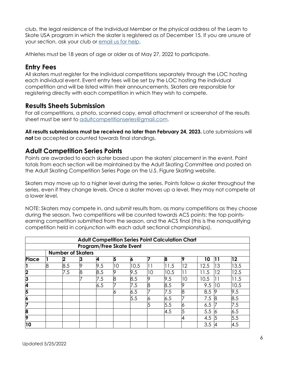club, the legal residence of the Individual Member or the physical address of the Learn to Skate USA program in which the skater is registered as of December 15, If you are unsure of your section, ask your club or [email us for help.](mailto:adultcompetitionseries@gmail.com)

Athletes must be 18 years of age or older as of May 27, 2022 to participate.

## <span id="page-5-0"></span>**Entry Fees**

All skaters must register for the individual competitions separately through the LOC hosting each individual event. Event entry fees will be set by the LOC hosting the individual competition and will be listed within their announcements. Skaters are responsible for registering directly with each competition in which they wish to compete.

## <span id="page-5-1"></span>**Results Sheets Submission**

For all competitions, a photo, scanned copy, email attachment or screenshot of the results sheet must be sent to [adultcompetitionseries@gmail.com.](mailto:adultcompetitionseries@gmail.com)

**All results submissions must be received no later than February 24, 2023.** Late submissions will **not** be accepted or counted towards final standings.

## <span id="page-5-2"></span>**Adult Competition Series Points**

Points are awarded to each skater based upon the skaters' placement in the event. Point totals from each section will be maintained by the Adult Skating Committee and posted on the Adult Skating Competition Series Page on the U.S. Figure Skating website.

Skaters may move up to a higher level during the series. Points follow a skater throughout the series, even if they change levels. Once a skater moves up a level, they may not compete at a lower level.

NOTE: Skaters may compete in, and submit results from, as many competitions as they choose during the season. Two competitions will be counted towards ACS points: the top pointsearning competition submitted from the season, and the ACS final (this is the nonqualifying competition held in conjunction with each adult sectional championships).

|                         | <b>Adult Competition Series Point Calculation Chart</b> |     |    |     |    |      |    |      |        |      |     |      |  |
|-------------------------|---------------------------------------------------------|-----|----|-----|----|------|----|------|--------|------|-----|------|--|
|                         | <b>Program/Free Skate Event</b>                         |     |    |     |    |      |    |      |        |      |     |      |  |
|                         | <b>Number of Skaters</b>                                |     |    |     |    |      |    |      |        |      |     |      |  |
| Place                   |                                                         | 2   | 13 | 4   | 5  | O    |    | 8    | ΙQ     | 10   | 11  | 12   |  |
|                         | 8                                                       | 8.5 | 9  | 9.5 | 10 | 10.5 |    | 11.5 | 12     | 12.5 | 13  | 13.5 |  |
| $\overline{\mathbf{2}}$ |                                                         | 7.5 | 8  | 8.5 | 19 | 9.5  | 10 | 10.5 | $\Box$ | 11.5 | 12  | 12.5 |  |
| 3                       |                                                         |     |    | 7.5 | 8  | 8.5  |    | 9.5  | 10     | 10.5 |     | 11.5 |  |
| 4                       |                                                         |     |    | 6.5 |    | 7.5  | 8  | 8.5  | 9      | 9.5  | l10 | 10.5 |  |
| 5                       |                                                         |     |    |     |    | 6.5  |    | 7.5  | 8      | 8.5  | 19  | 9.5  |  |
| 6                       |                                                         |     |    |     |    | 5.5  |    | 6.5  |        | 7.5  | l8  | 8.5  |  |
| 7                       |                                                         |     |    |     |    |      |    | 5.5  | Ю      | 6.5  |     | 7.5  |  |
| 8                       |                                                         |     |    |     |    |      |    | 4.5  | 5      | 5.5  | 16  | 6.5  |  |
| 9                       |                                                         |     |    |     |    |      |    |      | 4      | 4.5  | 15  | 5.5  |  |
| 10                      |                                                         |     |    |     |    |      |    |      |        | 3.5  |     | 4.5  |  |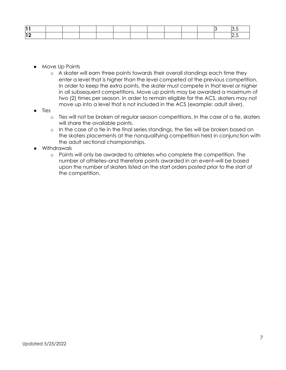- Move Up Points
	- o A skater will earn three points towards their overall standings each time they enter a level that is higher than the level competed at the previous competition. In order to keep the extra points, the skater must compete in that level or higher in all subsequent competitions. Move up points may be awarded a maximum of two (2) times per season. In order to remain eligible for the ACS, skaters may not move up into a level that is not included in the ACS (example: adult silver).
- Ties
	- o Ties will not be broken at regular season competitions. In the case of a tie, skaters will share the available points.
	- o In the case of a tie in the final series standings, the ties will be broken based on the skaters placements at the nonqualifying competition held in conjunction with the adult sectional championships.
- Withdrawals
	- o Points will only be awarded to athletes who complete the competition. The number of athletes–and therefore points awarded in an event–will be based upon the number of skaters listed on the start orders posted prior to the start of the competition.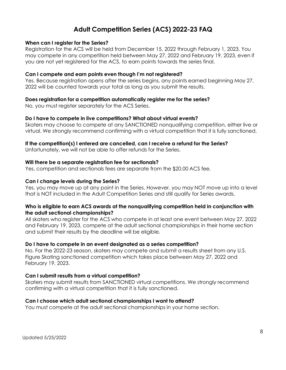## **Adult Competition Series (ACS) 2022-23 FAQ**

#### <span id="page-7-0"></span>**When can I register for the Series?**

Registration for the ACS will be held from December 15, 2022 through February 1, 2023. You may compete in any competition held between May 27, 2022 and February 19, 2023, even if you are not yet registered for the ACS, to earn points towards the series final.

#### **Can I compete and earn points even though I'm not registered?**

Yes. Because registration opens after the series begins, any points earned beginning May 27, 2022 will be counted towards your total as long as you submit the results.

#### **Does registration for a competition automatically register me for the series?**

No, you must register separately for the ACS Series.

#### **Do I have to compete in live competitions? What about virtual events?**

Skaters may choose to compete at any SANCTIONED nonqualifying competition, either live or virtual. We strongly recommend confirming with a virtual competition that it is fully sanctioned.

#### **If the competition(s) I entered are cancelled, can I receive a refund for the Series?**

Unfortunately, we will not be able to offer refunds for the Series.

#### **Will there be a separate registration fee for sectionals?**

Yes, competition and sectionals fees are separate from the \$20.00 ACS fee.

#### **Can I change levels during the Series?**

Yes, you may move up at any point in the Series. However, you may NOT move up into a level that is NOT included in the Adult Competition Series and still qualify for Series awards.

#### **Who is eligible to earn ACS awards at the nonqualifying competition held in conjunction with the adult sectional championships?**

All skaters who register for the ACS who compete in at least one event between May 27, 2022 and February 19, 2023, compete at the adult sectional championships in their home section and submit their results by the deadline will be eligible.

#### **Do I have to compete in an event designated as a series competition?**

No. For the 2022-23 season, skaters may compete and submit a results sheet from any U.S. Figure Skating sanctioned competition which takes place between May 27, 2022 and February 19, 2023.

#### **Can I submit results from a virtual competition?**

Skaters may submit results from SANCTIONED virtual competitions. We strongly recommend confirming with a virtual competition that it is fully sanctioned.

#### **Can I choose which adult sectional championships I want to attend?**

You must compete at the adult sectional championships in your home section.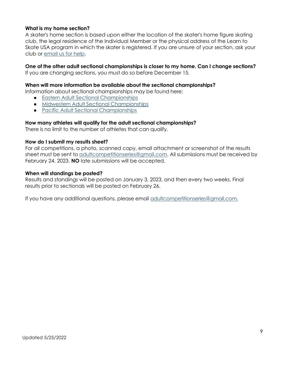#### **What is my home section?**

A skater's home section is based upon either the location of the skater's home figure skating club, the legal residence of the Individual Member or the physical address of the Learn to Skate USA program in which the skater is registered. If you are unsure of your section, ask your club or [email us for help.](mailto:adultcompetitionseries@gmail.com)

#### **One of the other adult sectional championships is closer to my home. Can I change sections?**

If you are changing sections, you must do so before December 15.

#### **When will more information be available about the sectional championships?**

Information about sectional championships may be found here:

- Eastern Adult Sectional [Championships](https://crossroadsfsc.org/)
- Midwestern Adult Sectional [Championships](https://www.eifsc.org/index.html)
- Pacific Adult Sectional [Championships](https://lilacskate.com/)

#### **How many athletes will qualify for the adult sectional championships?**

There is no limit to the number of athletes that can qualify.

#### **How do I submit my results sheet?**

For all competitions, a photo, scanned copy, email attachment or screenshot of the results sheet must be sent to [adultcompetitionseries@gmail.com.](mailto:adultcompetitionseries@gmail.com) All submissions must be received by February 24, 2023. **NO** late submissions will be accepted.

#### **When will standings be posted?**

Results and standings will be posted on January 3, 2023, and then every two weeks. Final results prior to sectionals will be posted on February 26.

If you have any additional questions, please email [adultcompetitionseries@gmail.com.](mailto:adultcompetitionseries@gmail.com)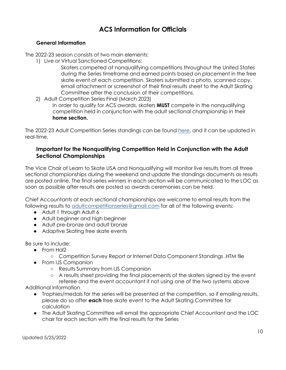## **ACS Information for Officials**

#### <span id="page-9-0"></span>**General Information**

The 2022-23 season consists of two main elements:

1) Live or Virtual Sanctioned Competitions:

Skaters competed at nonqualifying competitions throughout the United States during the Series timeframe and earned points based on placement in the free skate event at each competition. Skaters submitted a photo, scanned copy, email attachment or screenshot of their final results sheet to the Adult Skating Committee after the conclusion of their competitions.

2) Adult Competition Series Final (March 2023)

In order to qualify for ACS awards, skaters **MUST** compete in the nonqualifying competition held in conjunction with the adult sectional championship in their **home section.**

The 2022-23 Adult Competition Series standings can be found [here,](https://docs.google.com/spreadsheets/d/16Fseo3bH2Eyd4Kt2jt60Rjq4GeJhv_me20pmgx6wmLM/edit?usp=sharing) and it can be updated in real-time.

#### <span id="page-9-1"></span>**Important for the Nonqualifying Competition Held in Conjunction with the Adult Sectional Championships**

The Vice Chair of Learn to Skate USA and Nonqualifying will monitor live results from all three sectional championships during the weekend and update the standings documents as results are posted online. The final series winners in each section will be communicated to the LOC as soon as possible after results are posted so awards ceremonies can be held.

Chief Accountants at each sectional championships are welcome to email results from the following results to [adultcompetitionseries@gmail.com](mailto:adultcompetitionseries@gmail.com) for all of the following events:

- Adult 1 through Adult 6
- Adult beginner and high beginner
- Adult pre-bronze and adult bronze
- Adaptive Skating free skate events

Be sure to include:

- From Hal2
	- Competition Survey Report or Internet Data Component Standings .HTM file
- From IJS Companion
	- Results Summary from IJS Companion
	- A results sheet providing the final placements of the skaters signed by the event

referee and the event accountant if not using one of the two systems above Additional Information

- Trophies/medals for the series will be presented at the competition, so if emailing results, please do so after **each** free skate event to the Adult Skating Committee for calculation
- The Adult Skating Committee will email the appropriate Chief Accountant and the LOC chair for each section with the final results for the Series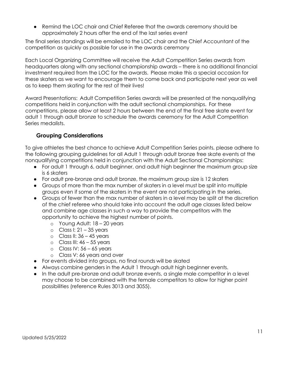● Remind the LOC chair and Chief Referee that the awards ceremony should be approximately 2 hours after the end of the last series event

The final series standings will be emailed to the LOC chair and the Chief Accountant of the competition as quickly as possible for use in the awards ceremony

Each Local Organizing Committee will receive the Adult Competition Series awards from headquarters along with any sectional championship awards – there is no additional financial investment required from the LOC for the awards. Please make this a special occasion for these skaters as we want to encourage them to come back and participate next year as well as to keep them skating for the rest of their lives!

Award Presentations: Adult Competition Series awards will be presented at the nonqualifying competitions held in conjunction with the adult sectional championships. For these competitions, please allow at least 2 hours between the end of the final free skate event for adult 1 through adult bronze to schedule the awards ceremony for the Adult Competition Series medalists.

### <span id="page-10-0"></span>**Grouping Considerations**

To give athletes the best chance to achieve Adult Competition Series points, please adhere to the following grouping guidelines for all Adult 1 through adult bronze free skate events at the nonqualifying competitions held in conjunction with the Adult Sectional Championships:

- For adult 1 through 6, adult beginner, and adult high beginner the maximum group size is 6 skaters
- For adult pre-bronze and adult bronze, the maximum group size is 12 skaters
- Groups of more than the max number of skaters in a level must be split into multiple groups even if some of the skaters in the event are not participating in the series.
- Groups of fewer than the max number of skaters in a level may be split at the discretion of the chief referee who should take into account the adult age classes listed below and combine age classes in such a way to provide the competitors with the opportunity to achieve the highest number of points.
	- o Young Adult: 18 20 years
	- $\circ$  Class I: 21 35 years
	- $\circ$  Class II: 36 45 years
	- $\circ$  Class III: 46 55 years
	- $\circ$  Class IV: 56 65 years
	- o Class V: 66 years and over
- For events divided into groups, no final rounds will be skated
- Always combine genders in the Adult 1 through adult high beginner events.
- In the adult pre-bronze and adult bronze events, a single male competitor in a level may choose to be combined with the female competitors to allow for higher point possibilities (reference Rules 3013 and 3055).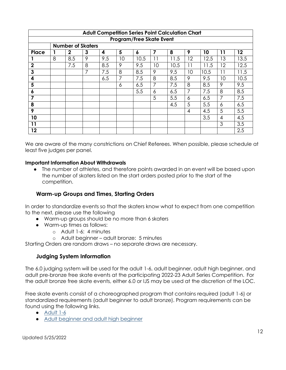| <b>Adult Competition Series Point Calculation Chart</b> |                          |              |                |     |    |                  |    |      |    |      |    |      |  |
|---------------------------------------------------------|--------------------------|--------------|----------------|-----|----|------------------|----|------|----|------|----|------|--|
| <b>Program/Free Skate Event</b>                         |                          |              |                |     |    |                  |    |      |    |      |    |      |  |
|                                                         | <b>Number of Skaters</b> |              |                |     |    |                  |    |      |    |      |    |      |  |
| Place                                                   |                          | $\mathbf{2}$ | $\mathbf{3}$   | 4   | 5  | $\boldsymbol{6}$ | 7  | 8    | 9  | 10   | 11 | 12   |  |
|                                                         | 8                        | 8.5          | 9              | 9.5 | 10 | 10.5             | 11 | 1.5  | 12 | 12.5 | 13 | 13.5 |  |
| $\overline{2}$                                          |                          | 7.5          | 8              | 8.5 | 9  | 9.5              | 10 | 10.5 | 11 | 11.5 | 12 | 12.5 |  |
| 3                                                       |                          |              | $\overline{7}$ | 7.5 | 8  | 8.5              | 9  | 9.5  | 10 | 10.5 | 11 | 11.5 |  |
| 4                                                       |                          |              |                | 6.5 | 7  | 7.5              | 8  | 8.5  | 9  | 9.5  | 10 | 10.5 |  |
| 5                                                       |                          |              |                |     | 6  | 6.5              | 7  | 7.5  | 8  | 8.5  | 9  | 9.5  |  |
| 6                                                       |                          |              |                |     |    | 5.5              | 6  | 6.5  | 7  | 7.5  | 8  | 8.5  |  |
| 7                                                       |                          |              |                |     |    |                  | 5  | 5.5  | 6  | 6.5  | 7  | 7.5  |  |
| 8                                                       |                          |              |                |     |    |                  |    | 4.5  | 5  | 5.5  | 6  | 6.5  |  |
| 9                                                       |                          |              |                |     |    |                  |    |      | 4  | 4.5  | 5  | 5.5  |  |
| 10                                                      |                          |              |                |     |    |                  |    |      |    | 3.5  | 4  | 4.5  |  |
| 11                                                      |                          |              |                |     |    |                  |    |      |    |      | 3  | 3.5  |  |
| 12                                                      |                          |              |                |     |    |                  |    |      |    |      |    | 2.5  |  |

We are aware of the many constrictions on Chief Referees. When possible, please schedule at least five judges per panel.

#### **Important Information About Withdrawals**

● The number of athletes, and therefore points awarded in an event will be based upon the number of skaters listed on the start orders posted prior to the start of the competition.

## <span id="page-11-0"></span>**Warm-up Groups and Times, Starting Orders**

In order to standardize events so that the skaters know what to expect from one competition to the next, please use the following

- Warm-up groups should be no more than 6 skaters
- Warm-up times as follows:
	- o Adult 1-6: 4 minutes
	- o Adult beginner adult bronze: 5 minutes

<span id="page-11-1"></span>Starting Orders are random draws – no separate draws are necessary.

#### **Judging System Information**

The 6.0 judging system will be used for the adult 1-6, adult beginner, adult high beginner, and adult pre-bronze free skate events at the participating 2022-23 Adult Series Competition. For the adult bronze free skate events, either 6.0 or IJS may be used at the discretion of the LOC.

Free skate events consist of a choreographed program that contains required (adult 1-6) or standardized requirements (adult beginner to adult bronze). Program requirements can be found using the following links.

- [Adult 1-6](https://fs12.formsite.com/USFSAIT/images/Adult_1-6_Free_Skate.pdf)
- Adult beginner [and adult](https://fs12.formsite.com/USFSAIT/images/Adult_Beginner_High_Beginner_FS.pdf) high beginner